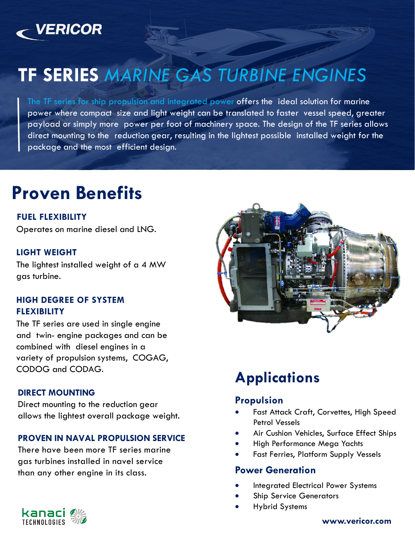

# **TF SERIES** *MARINE GAS TURBINE ENGINES*

The TF series for ship propulsion and integrated power offers the ideal solution for marine power where compact size and light weight can be translated to faster vessel speed, greater payload or simply more power per foot of machinery space. The design of the TF series allows direct mounting to the reduction gear, resulting in the lightest possible installed weight for the package and the most efficient design.

### **Proven Benefits**

#### **FUEL FLEXIBILITY**

Operates on marine diesel and LNG.

#### **LIGHT WEIGHT**

The lightest installed weight of a 4 MW gas turbine.

#### **HIGH DEGREE OF SYSTEM FLEXIBILITY**

The TF series are used in single engine and twin- engine packages and can be combined with diesel engines in a variety of propulsion systems, COGAG, CODOG and CODAG.

#### **DIRECT MOUNTING**

Direct mounting to the reduction gear allows the lightest overall package weight.

#### **PROVEN IN NAVAL PROPULSION SERVICE**

There have been more TF series marine gas turbines installed in navel service than any other engine in its class.



### **Applications**

#### **Propulsion**

- Fast Attack Craft, Corvettes, High Speed Petrol Vessels
- Air Cushion Vehicles, Surface Effect Ships
- High Performance Mega Yachts
- Fast Ferries, Platform Supply Vessels

#### **Power Generation**

- Integrated Electrical Power Systems
- Ship Service Generators
- Hybrid Systems



**www.vericor.com**